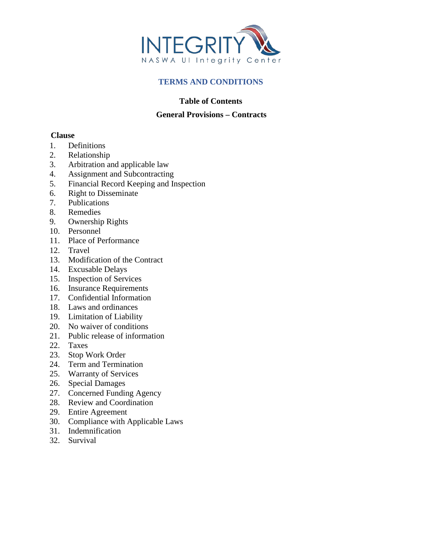

## **TERMS AND CONDITIONS**

## **Table of Contents**

## **General Provisions – Contracts**

## **Clause**

- 1. Definitions
- 2. Relationship
- 3. Arbitration and applicable law
- 4. Assignment and Subcontracting
- 5. Financial Record Keeping and Inspection
- 6. Right to Disseminate
- 7. Publications
- 8. Remedies
- 9. Ownership Rights
- 10. Personnel
- 11. Place of Performance
- 12. Travel
- 13. Modification of the Contract
- 14. Excusable Delays
- 15. Inspection of Services
- 16. Insurance Requirements
- 17. Confidential Information
- 18. Laws and ordinances
- 19. Limitation of Liability
- 20. No waiver of conditions
- 21. Public release of information
- 22. Taxes
- 23. Stop Work Order
- 24. Term and Termination
- 25. Warranty of Services
- 26. Special Damages
- 27. Concerned Funding Agency
- 28. Review and Coordination
- 29. Entire Agreement
- 30. Compliance with Applicable Laws
- 31. Indemnification
- 32. Survival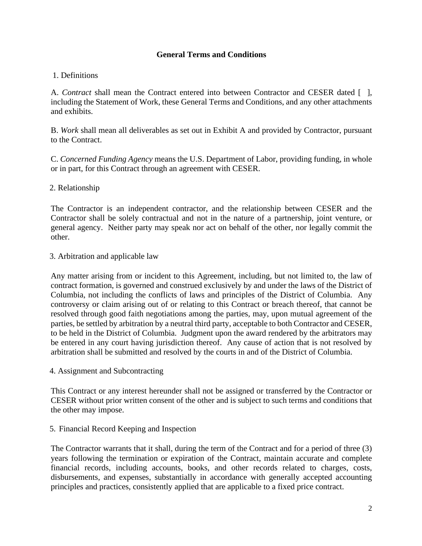## **General Terms and Conditions**

## 1. Definitions

A. *Contract* shall mean the Contract entered into between Contractor and CESER dated [ ], including the Statement of Work, these General Terms and Conditions, and any other attachments and exhibits.

B. *Work* shall mean all deliverables as set out in Exhibit A and provided by Contractor, pursuant to the Contract.

C. *Concerned Funding Agency* means the U.S. Department of Labor, providing funding, in whole or in part, for this Contract through an agreement with CESER.

## 2. Relationship

The Contractor is an independent contractor, and the relationship between CESER and the Contractor shall be solely contractual and not in the nature of a partnership, joint venture, or general agency. Neither party may speak nor act on behalf of the other, nor legally commit the other.

#### 3. Arbitration and applicable law

Any matter arising from or incident to this Agreement, including, but not limited to, the law of contract formation, is governed and construed exclusively by and under the laws of the District of Columbia, not including the conflicts of laws and principles of the District of Columbia. Any controversy or claim arising out of or relating to this Contract or breach thereof, that cannot be resolved through good faith negotiations among the parties, may, upon mutual agreement of the parties, be settled by arbitration by a neutral third party, acceptable to both Contractor and CESER, to be held in the District of Columbia. Judgment upon the award rendered by the arbitrators may be entered in any court having jurisdiction thereof. Any cause of action that is not resolved by arbitration shall be submitted and resolved by the courts in and of the District of Columbia.

4. Assignment and Subcontracting

This Contract or any interest hereunder shall not be assigned or transferred by the Contractor or CESER without prior written consent of the other and is subject to such terms and conditions that the other may impose.

#### 5. Financial Record Keeping and Inspection

The Contractor warrants that it shall, during the term of the Contract and for a period of three (3) years following the termination or expiration of the Contract, maintain accurate and complete financial records, including accounts, books, and other records related to charges, costs, disbursements, and expenses, substantially in accordance with generally accepted accounting principles and practices, consistently applied that are applicable to a fixed price contract.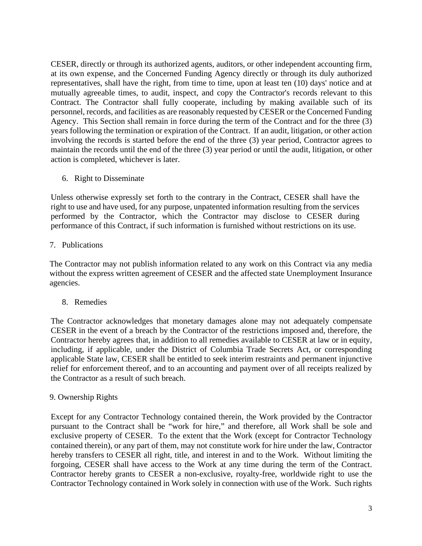CESER, directly or through its authorized agents, auditors, or other independent accounting firm, at its own expense, and the Concerned Funding Agency directly or through its duly authorized representatives, shall have the right, from time to time, upon at least ten (10) days' notice and at mutually agreeable times, to audit, inspect, and copy the Contractor's records relevant to this Contract. The Contractor shall fully cooperate, including by making available such of its personnel, records, and facilities as are reasonably requested by CESER or the Concerned Funding Agency. This Section shall remain in force during the term of the Contract and for the three (3) years following the termination or expiration of the Contract. If an audit, litigation, or other action involving the records is started before the end of the three (3) year period, Contractor agrees to maintain the records until the end of the three (3) year period or until the audit, litigation, or other action is completed, whichever is later.

6. Right to Disseminate

Unless otherwise expressly set forth to the contrary in the Contract, CESER shall have the right to use and have used, for any purpose, unpatented information resulting from the services performed by the Contractor, which the Contractor may disclose to CESER during performance of this Contract, if such information is furnished without restrictions on its use.

# 7. Publications

The Contractor may not publish information related to any work on this Contract via any media without the express written agreement of CESER and the affected state Unemployment Insurance agencies.

8. Remedies

The Contractor acknowledges that monetary damages alone may not adequately compensate CESER in the event of a breach by the Contractor of the restrictions imposed and, therefore, the Contractor hereby agrees that, in addition to all remedies available to CESER at law or in equity, including, if applicable, under the District of Columbia Trade Secrets Act, or corresponding applicable State law, CESER shall be entitled to seek interim restraints and permanent injunctive relief for enforcement thereof, and to an accounting and payment over of all receipts realized by the Contractor as a result of such breach.

## 9. Ownership Rights

Except for any Contractor Technology contained therein, the Work provided by the Contractor pursuant to the Contract shall be "work for hire," and therefore, all Work shall be sole and exclusive property of CESER. To the extent that the Work (except for Contractor Technology contained therein), or any part of them, may not constitute work for hire under the law, Contractor hereby transfers to CESER all right, title, and interest in and to the Work. Without limiting the forgoing, CESER shall have access to the Work at any time during the term of the Contract. Contractor hereby grants to CESER a non-exclusive, royalty-free, worldwide right to use the Contractor Technology contained in Work solely in connection with use of the Work. Such rights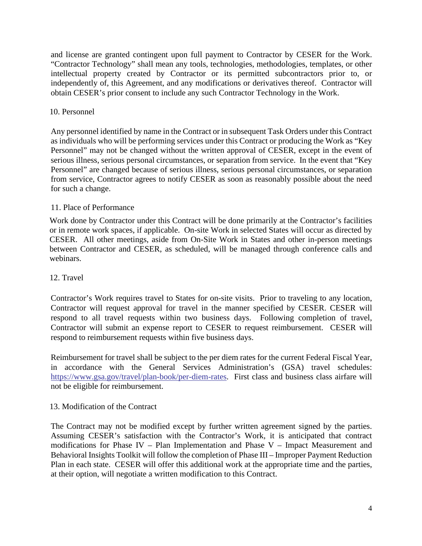and license are granted contingent upon full payment to Contractor by CESER for the Work. "Contractor Technology" shall mean any tools, technologies, methodologies, templates, or other intellectual property created by Contractor or its permitted subcontractors prior to, or independently of, this Agreement, and any modifications or derivatives thereof. Contractor will obtain CESER's prior consent to include any such Contractor Technology in the Work.

## 10. Personnel

Any personnel identified by name in the Contract or in subsequent Task Orders under this Contract as individuals who will be performing services under this Contract or producing the Work as "Key Personnel" may not be changed without the written approval of CESER, except in the event of serious illness, serious personal circumstances, or separation from service. In the event that "Key Personnel" are changed because of serious illness, serious personal circumstances, or separation from service, Contractor agrees to notify CESER as soon as reasonably possible about the need for such a change.

## 11. Place of Performance

Work done by Contractor under this Contract will be done primarily at the Contractor's facilities or in remote work spaces, if applicable. On-site Work in selected States will occur as directed by CESER. All other meetings, aside from On-Site Work in States and other in-person meetings between Contractor and CESER, as scheduled, will be managed through conference calls and webinars.

### 12. Travel

Contractor's Work requires travel to States for on-site visits. Prior to traveling to any location, Contractor will request approval for travel in the manner specified by CESER. CESER will respond to all travel requests within two business days. Following completion of travel, Contractor will submit an expense report to CESER to request reimbursement. CESER will respond to reimbursement requests within five business days.

Reimbursement for travel shall be subject to the per diem rates for the current Federal Fiscal Year, in accordance with the General Services Administration's (GSA) travel schedules: [https://www.gsa.gov/travel/plan-book/per-diem-rates.](https://www.gsa.gov/travel/plan-book/per-diem-rates) First class and business class airfare will not be eligible for reimbursement.

#### 13. Modification of the Contract

The Contract may not be modified except by further written agreement signed by the parties. Assuming CESER's satisfaction with the Contractor's Work, it is anticipated that contract modifications for Phase IV – Plan Implementation and Phase V – Impact Measurement and Behavioral Insights Toolkit will follow the completion of Phase III – Improper Payment Reduction Plan in each state. CESER will offer this additional work at the appropriate time and the parties, at their option, will negotiate a written modification to this Contract.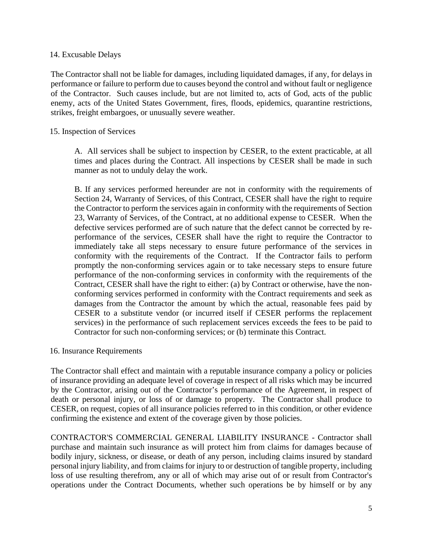### 14. Excusable Delays

The Contractor shall not be liable for damages, including liquidated damages, if any, for delays in performance or failure to perform due to causes beyond the control and without fault or negligence of the Contractor. Such causes include, but are not limited to, acts of God, acts of the public enemy, acts of the United States Government, fires, floods, epidemics, quarantine restrictions, strikes, freight embargoes, or unusually severe weather.

## 15. Inspection of Services

A. All services shall be subject to inspection by CESER, to the extent practicable, at all times and places during the Contract. All inspections by CESER shall be made in such manner as not to unduly delay the work.

B. If any services performed hereunder are not in conformity with the requirements of Section 24, Warranty of Services, of this Contract, CESER shall have the right to require the Contractor to perform the services again in conformity with the requirements of Section 23, Warranty of Services, of the Contract, at no additional expense to CESER. When the defective services performed are of such nature that the defect cannot be corrected by reperformance of the services, CESER shall have the right to require the Contractor to immediately take all steps necessary to ensure future performance of the services in conformity with the requirements of the Contract. If the Contractor fails to perform promptly the non-conforming services again or to take necessary steps to ensure future performance of the non-conforming services in conformity with the requirements of the Contract, CESER shall have the right to either: (a) by Contract or otherwise, have the nonconforming services performed in conformity with the Contract requirements and seek as damages from the Contractor the amount by which the actual, reasonable fees paid by CESER to a substitute vendor (or incurred itself if CESER performs the replacement services) in the performance of such replacement services exceeds the fees to be paid to Contractor for such non-conforming services; or (b) terminate this Contract.

#### 16. Insurance Requirements

The Contractor shall effect and maintain with a reputable insurance company a policy or policies of insurance providing an adequate level of coverage in respect of all risks which may be incurred by the Contractor, arising out of the Contractor's performance of the Agreement, in respect of death or personal injury, or loss of or damage to property. The Contractor shall produce to CESER, on request, copies of all insurance policies referred to in this condition, or other evidence confirming the existence and extent of the coverage given by those policies.

CONTRACTOR'S COMMERCIAL GENERAL LIABILITY INSURANCE - Contractor shall purchase and maintain such insurance as will protect him from claims for damages because of bodily injury, sickness, or disease, or death of any person, including claims insured by standard personal injury liability, and from claims for injury to or destruction of tangible property, including loss of use resulting therefrom, any or all of which may arise out of or result from Contractor's operations under the Contract Documents, whether such operations be by himself or by any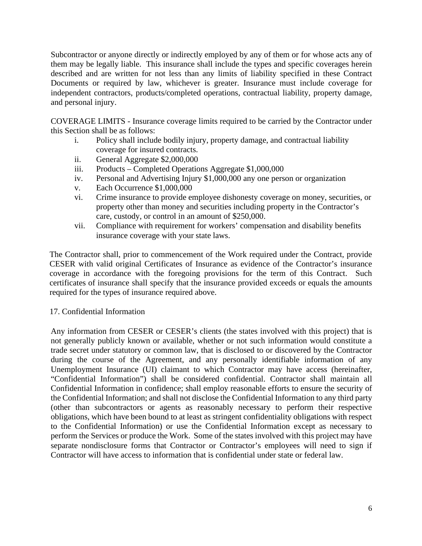Subcontractor or anyone directly or indirectly employed by any of them or for whose acts any of them may be legally liable. This insurance shall include the types and specific coverages herein described and are written for not less than any limits of liability specified in these Contract Documents or required by law, whichever is greater. Insurance must include coverage for independent contractors, products/completed operations, contractual liability, property damage, and personal injury.

COVERAGE LIMITS - Insurance coverage limits required to be carried by the Contractor under this Section shall be as follows:

- i. Policy shall include bodily injury, property damage, and contractual liability coverage for insured contracts.
- ii. General Aggregate \$2,000,000
- iii. Products Completed Operations Aggregate \$1,000,000
- iv. Personal and Advertising Injury \$1,000,000 any one person or organization
- v. Each Occurrence \$1,000,000
- vi. Crime insurance to provide employee dishonesty coverage on money, securities, or property other than money and securities including property in the Contractor's care, custody, or control in an amount of \$250,000.
- vii. Compliance with requirement for workers' compensation and disability benefits insurance coverage with your state laws.

The Contractor shall, prior to commencement of the Work required under the Contract, provide CESER with valid original Certificates of Insurance as evidence of the Contractor's insurance coverage in accordance with the foregoing provisions for the term of this Contract. Such certificates of insurance shall specify that the insurance provided exceeds or equals the amounts required for the types of insurance required above.

## 17. Confidential Information

Any information from CESER or CESER's clients (the states involved with this project) that is not generally publicly known or available, whether or not such information would constitute a trade secret under statutory or common law, that is disclosed to or discovered by the Contractor during the course of the Agreement, and any personally identifiable information of any Unemployment Insurance (UI) claimant to which Contractor may have access (hereinafter, "Confidential Information") shall be considered confidential. Contractor shall maintain all Confidential Information in confidence; shall employ reasonable efforts to ensure the security of the Confidential Information; and shall not disclose the Confidential Information to any third party (other than subcontractors or agents as reasonably necessary to perform their respective obligations, which have been bound to at least as stringent confidentiality obligations with respect to the Confidential Information) or use the Confidential Information except as necessary to perform the Services or produce the Work. Some of the states involved with this project may have separate nondisclosure forms that Contractor or Contractor's employees will need to sign if Contractor will have access to information that is confidential under state or federal law.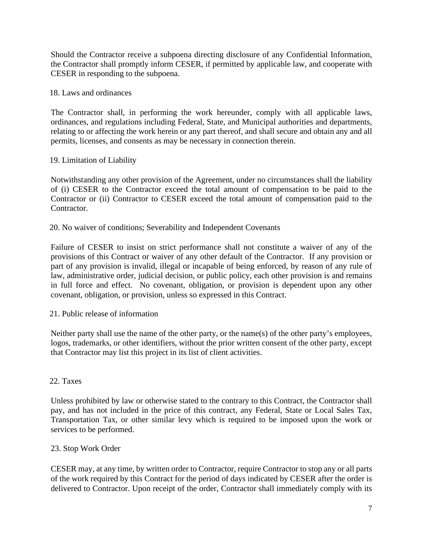Should the Contractor receive a subpoena directing disclosure of any Confidential Information, the Contractor shall promptly inform CESER, if permitted by applicable law, and cooperate with CESER in responding to the subpoena.

## 18. Laws and ordinances

The Contractor shall, in performing the work hereunder, comply with all applicable laws, ordinances, and regulations including Federal, State, and Municipal authorities and departments, relating to or affecting the work herein or any part thereof, and shall secure and obtain any and all permits, licenses, and consents as may be necessary in connection therein.

## 19. Limitation of Liability

Notwithstanding any other provision of the Agreement, under no circumstances shall the liability of (i) CESER to the Contractor exceed the total amount of compensation to be paid to the Contractor or (ii) Contractor to CESER exceed the total amount of compensation paid to the Contractor.

## 20. No waiver of conditions; Severability and Independent Covenants

Failure of CESER to insist on strict performance shall not constitute a waiver of any of the provisions of this Contract or waiver of any other default of the Contractor. If any provision or part of any provision is invalid, illegal or incapable of being enforced, by reason of any rule of law, administrative order, judicial decision, or public policy, each other provision is and remains in full force and effect. No covenant, obligation, or provision is dependent upon any other covenant, obligation, or provision, unless so expressed in this Contract.

#### 21. Public release of information

Neither party shall use the name of the other party, or the name(s) of the other party's employees, logos, trademarks, or other identifiers, without the prior written consent of the other party, except that Contractor may list this project in its list of client activities.

#### 22. Taxes

Unless prohibited by law or otherwise stated to the contrary to this Contract, the Contractor shall pay, and has not included in the price of this contract, any Federal, State or Local Sales Tax, Transportation Tax, or other similar levy which is required to be imposed upon the work or services to be performed.

#### 23. Stop Work Order

CESER may, at any time, by written order to Contractor, require Contractor to stop any or all parts of the work required by this Contract for the period of days indicated by CESER after the order is delivered to Contractor. Upon receipt of the order, Contractor shall immediately comply with its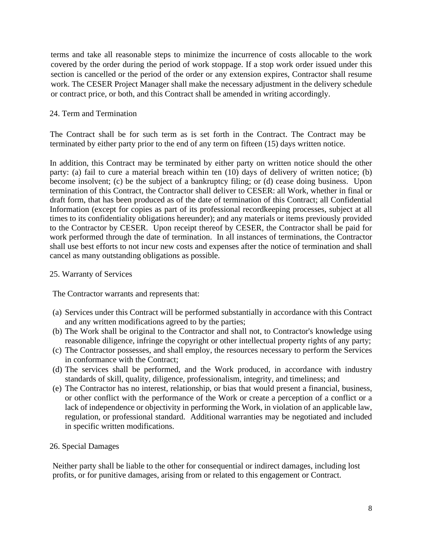terms and take all reasonable steps to minimize the incurrence of costs allocable to the work covered by the order during the period of work stoppage. If a stop work order issued under this section is cancelled or the period of the order or any extension expires, Contractor shall resume work. The CESER Project Manager shall make the necessary adjustment in the delivery schedule or contract price, or both, and this Contract shall be amended in writing accordingly.

## 24. Term and Termination

The Contract shall be for such term as is set forth in the Contract. The Contract may be terminated by either party prior to the end of any term on fifteen (15) days written notice.

In addition, this Contract may be terminated by either party on written notice should the other party: (a) fail to cure a material breach within ten (10) days of delivery of written notice; (b) become insolvent; (c) be the subject of a bankruptcy filing; or (d) cease doing business. Upon termination of this Contract, the Contractor shall deliver to CESER: all Work, whether in final or draft form, that has been produced as of the date of termination of this Contract; all Confidential Information (except for copies as part of its professional recordkeeping processes, subject at all times to its confidentiality obligations hereunder); and any materials or items previously provided to the Contractor by CESER. Upon receipt thereof by CESER, the Contractor shall be paid for work performed through the date of termination. In all instances of terminations, the Contractor shall use best efforts to not incur new costs and expenses after the notice of termination and shall cancel as many outstanding obligations as possible.

#### 25. Warranty of Services

The Contractor warrants and represents that:

- (a) Services under this Contract will be performed substantially in accordance with this Contract and any written modifications agreed to by the parties;
- (b) The Work shall be original to the Contractor and shall not, to Contractor's knowledge using reasonable diligence, infringe the copyright or other intellectual property rights of any party;
- (c) The Contractor possesses, and shall employ, the resources necessary to perform the Services in conformance with the Contract;
- (d) The services shall be performed, and the Work produced, in accordance with industry standards of skill, quality, diligence, professionalism, integrity, and timeliness; and
- (e) The Contractor has no interest, relationship, or bias that would present a financial, business, or other conflict with the performance of the Work or create a perception of a conflict or a lack of independence or objectivity in performing the Work, in violation of an applicable law, regulation, or professional standard. Additional warranties may be negotiated and included in specific written modifications.

#### 26. Special Damages

Neither party shall be liable to the other for consequential or indirect damages, including lost profits, or for punitive damages, arising from or related to this engagement or Contract.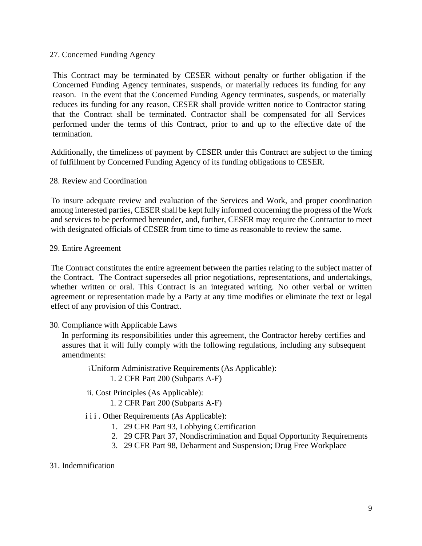### 27. Concerned Funding Agency

This Contract may be terminated by CESER without penalty or further obligation if the Concerned Funding Agency terminates, suspends, or materially reduces its funding for any reason. In the event that the Concerned Funding Agency terminates, suspends, or materially reduces its funding for any reason, CESER shall provide written notice to Contractor stating that the Contract shall be terminated. Contractor shall be compensated for all Services performed under the terms of this Contract, prior to and up to the effective date of the termination.

Additionally, the timeliness of payment by CESER under this Contract are subject to the timing of fulfillment by Concerned Funding Agency of its funding obligations to CESER.

28. Review and Coordination

To insure adequate review and evaluation of the Services and Work, and proper coordination among interested parties, CESER shall be kept fully informed concerning the progress of the Work and services to be performed hereunder, and, further, CESER may require the Contractor to meet with designated officials of CESER from time to time as reasonable to review the same.

#### 29. Entire Agreement

The Contract constitutes the entire agreement between the parties relating to the subject matter of the Contract. The Contract supersedes all prior negotiations, representations, and undertakings, whether written or oral. This Contract is an integrated writing. No other verbal or written agreement or representation made by a Party at any time modifies or eliminate the text or legal effect of any provision of this Contract.

#### 30. Compliance with Applicable Laws

In performing its responsibilities under this agreement, the Contractor hereby certifies and assures that it will fully comply with the following regulations, including any subsequent amendments:

Uniform Administrative Requirements (As Applicable):

1. 2 CFR Part 200 (Subparts A-F)

- ii. Cost Principles (As Applicable):
	- 1. 2 CFR Part 200 (Subparts A-F)
- i i i . Other Requirements (As Applicable):
	- 1. 29 CFR Part 93, Lobbying Certification
	- 2. 29 CFR Part 37, Nondiscrimination and Equal Opportunity Requirements
	- 3. 29 CFR Part 98, Debarment and Suspension; Drug Free Workplace
- 31. Indemnification